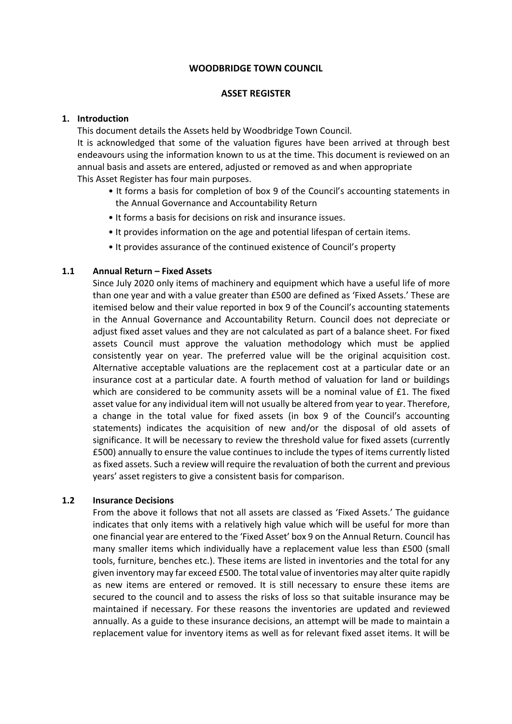#### **WOODBRIDGE TOWN COUNCIL**

## **ASSET REGISTER**

## **1. Introduction**

This document details the Assets held by Woodbridge Town Council.

It is acknowledged that some of the valuation figures have been arrived at through best endeavours using the information known to us at the time. This document is reviewed on an annual basis and assets are entered, adjusted or removed as and when appropriate This Asset Register has four main purposes.

- It forms a basis for completion of box 9 of the Council's accounting statements in the Annual Governance and Accountability Return
- It forms a basis for decisions on risk and insurance issues.
- It provides information on the age and potential lifespan of certain items.
- It provides assurance of the continued existence of Council's property

## **1.1 Annual Return – Fixed Assets**

Since July 2020 only items of machinery and equipment which have a useful life of more than one year and with a value greater than £500 are defined as 'Fixed Assets.' These are itemised below and their value reported in box 9 of the Council's accounting statements in the Annual Governance and Accountability Return. Council does not depreciate or adjust fixed asset values and they are not calculated as part of a balance sheet. For fixed assets Council must approve the valuation methodology which must be applied consistently year on year. The preferred value will be the original acquisition cost. Alternative acceptable valuations are the replacement cost at a particular date or an insurance cost at a particular date. A fourth method of valuation for land or buildings which are considered to be community assets will be a nominal value of £1. The fixed asset value for any individual item will not usually be altered from year to year. Therefore, a change in the total value for fixed assets (in box 9 of the Council's accounting statements) indicates the acquisition of new and/or the disposal of old assets of significance. It will be necessary to review the threshold value for fixed assets (currently £500) annually to ensure the value continues to include the types of items currently listed as fixed assets. Such a review will require the revaluation of both the current and previous years' asset registers to give a consistent basis for comparison.

#### **1.2 Insurance Decisions**

From the above it follows that not all assets are classed as 'Fixed Assets.' The guidance indicates that only items with a relatively high value which will be useful for more than one financial year are entered to the 'Fixed Asset' box 9 on the Annual Return. Council has many smaller items which individually have a replacement value less than £500 (small tools, furniture, benches etc.). These items are listed in inventories and the total for any given inventory may far exceed £500. The total value of inventories may alter quite rapidly as new items are entered or removed. It is still necessary to ensure these items are secured to the council and to assess the risks of loss so that suitable insurance may be maintained if necessary. For these reasons the inventories are updated and reviewed annually. As a guide to these insurance decisions, an attempt will be made to maintain a replacement value for inventory items as well as for relevant fixed asset items. It will be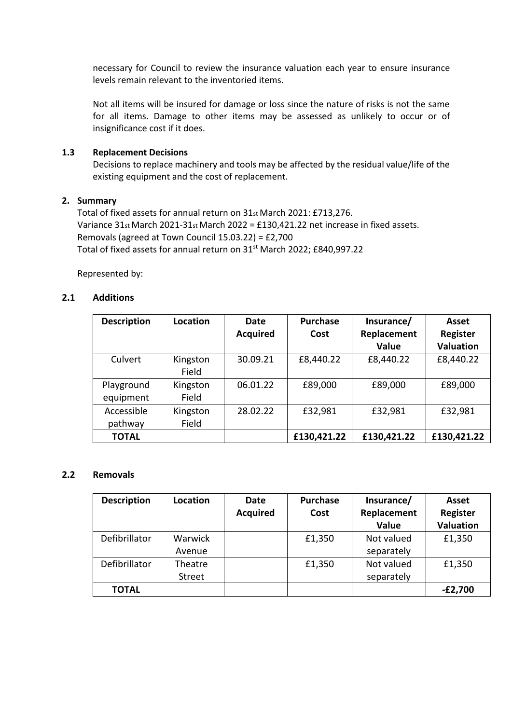necessary for Council to review the insurance valuation each year to ensure insurance levels remain relevant to the inventoried items.

Not all items will be insured for damage or loss since the nature of risks is not the same for all items. Damage to other items may be assessed as unlikely to occur or of insignificance cost if it does.

## **1.3 Replacement Decisions**

Decisions to replace machinery and tools may be affected by the residual value/life of the existing equipment and the cost of replacement.

## **2. Summary**

Total of fixed assets for annual return on 31st March 2021: £713,276. Variance 31st March 2021-31st March 2022 = £130,421.22 net increase in fixed assets. Removals (agreed at Town Council 15.03.22) = £2,700 Total of fixed assets for annual return on 31<sup>st</sup> March 2022; £840,997.22

Represented by:

## **2.1 Additions**

| <b>Description</b>      | Location          | Date<br><b>Acquired</b> | <b>Purchase</b><br>Cost | Insurance/<br>Replacement<br>Value | Asset<br>Register<br><b>Valuation</b> |
|-------------------------|-------------------|-------------------------|-------------------------|------------------------------------|---------------------------------------|
| Culvert                 | Kingston<br>Field | 30.09.21                | £8,440.22               | £8,440.22                          | £8,440.22                             |
| Playground<br>equipment | Kingston<br>Field | 06.01.22                | £89,000                 | £89,000                            | £89,000                               |
| Accessible<br>pathway   | Kingston<br>Field | 28.02.22                | £32,981                 | £32,981                            | £32,981                               |
| <b>TOTAL</b>            |                   |                         | £130,421.22             | £130,421.22                        | £130,421.22                           |

#### **2.2 Removals**

| <b>Description</b> | Location      | Date            | Purchase | Insurance/  | Asset            |
|--------------------|---------------|-----------------|----------|-------------|------------------|
|                    |               | <b>Acquired</b> | Cost     | Replacement | <b>Register</b>  |
|                    |               |                 |          | Value       | <b>Valuation</b> |
| Defibrillator      | Warwick       |                 | £1,350   | Not valued  | £1,350           |
|                    | Avenue        |                 |          | separately  |                  |
| Defibrillator      | Theatre       |                 | £1,350   | Not valued  | £1,350           |
|                    | <b>Street</b> |                 |          | separately  |                  |
| <b>TOTAL</b>       |               |                 |          |             | $-E2,700$        |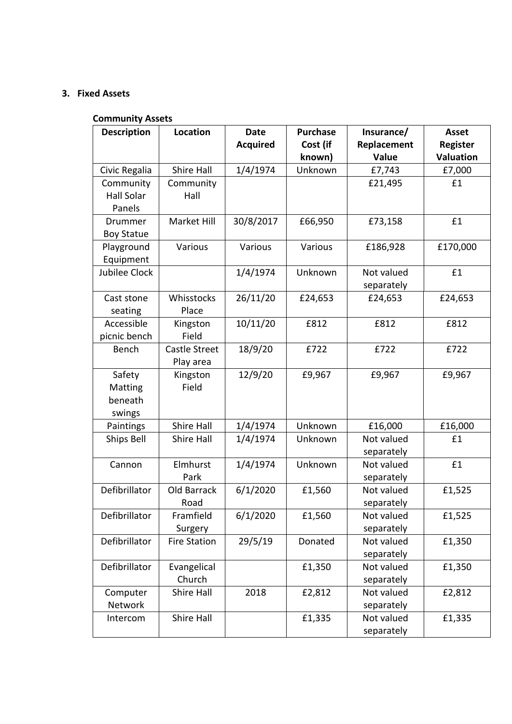# **3. Fixed Assets**

# **Community Assets**

| <b>Description</b> | Location            | <b>Date</b>     | <b>Purchase</b> | Insurance/  | <b>Asset</b>     |
|--------------------|---------------------|-----------------|-----------------|-------------|------------------|
|                    |                     | <b>Acquired</b> | Cost (if        | Replacement | <b>Register</b>  |
|                    |                     |                 | known)          | Value       | <b>Valuation</b> |
| Civic Regalia      | Shire Hall          | 1/4/1974        | Unknown         | £7,743      | £7,000           |
| Community          | Community           |                 |                 | £21,495     | £1               |
| <b>Hall Solar</b>  | Hall                |                 |                 |             |                  |
| Panels             |                     |                 |                 |             |                  |
| Drummer            | Market Hill         | 30/8/2017       | £66,950         | £73,158     | £1               |
| <b>Boy Statue</b>  |                     |                 |                 |             |                  |
| Playground         | Various             | Various         | Various         | £186,928    | £170,000         |
| Equipment          |                     |                 |                 |             |                  |
| Jubilee Clock      |                     | 1/4/1974        | Unknown         | Not valued  | £1               |
|                    |                     |                 |                 | separately  |                  |
| Cast stone         | Whisstocks          | 26/11/20        | £24,653         | £24,653     | £24,653          |
| seating            | Place               |                 |                 |             |                  |
| Accessible         | Kingston            | 10/11/20        | £812            | £812        | £812             |
| picnic bench       | Field               |                 |                 |             |                  |
| Bench              | Castle Street       | 18/9/20         | £722            | £722        | £722             |
|                    | Play area           |                 |                 |             |                  |
| Safety             | Kingston            | 12/9/20         | £9,967          | £9,967      | £9,967           |
| Matting            | Field               |                 |                 |             |                  |
| beneath            |                     |                 |                 |             |                  |
| swings             |                     |                 |                 |             |                  |
| Paintings          | Shire Hall          | 1/4/1974        | Unknown         | £16,000     | £16,000          |
| <b>Ships Bell</b>  | Shire Hall          | 1/4/1974        | Unknown         | Not valued  | £1               |
|                    |                     |                 |                 | separately  |                  |
| Cannon             | Elmhurst            | 1/4/1974        | Unknown         | Not valued  | £1               |
|                    | Park                |                 |                 | separately  |                  |
| Defibrillator      | Old Barrack         | 6/1/2020        | £1,560          | Not valued  | £1,525           |
|                    | Road                |                 |                 | separately  |                  |
| Defibrillator      | Framfield           | 6/1/2020        | £1,560          | Not valued  | £1,525           |
|                    | Surgery             |                 |                 | separately  |                  |
| Defibrillator      | <b>Fire Station</b> | 29/5/19         | Donated         | Not valued  | £1,350           |
|                    |                     |                 |                 | separately  |                  |
| Defibrillator      | Evangelical         |                 | £1,350          | Not valued  | £1,350           |
|                    | Church              |                 |                 | separately  |                  |
| Computer           | Shire Hall          | 2018            | £2,812          | Not valued  | £2,812           |
| <b>Network</b>     |                     |                 |                 | separately  |                  |
| Intercom           | Shire Hall          |                 | £1,335          | Not valued  | £1,335           |
|                    |                     |                 |                 | separately  |                  |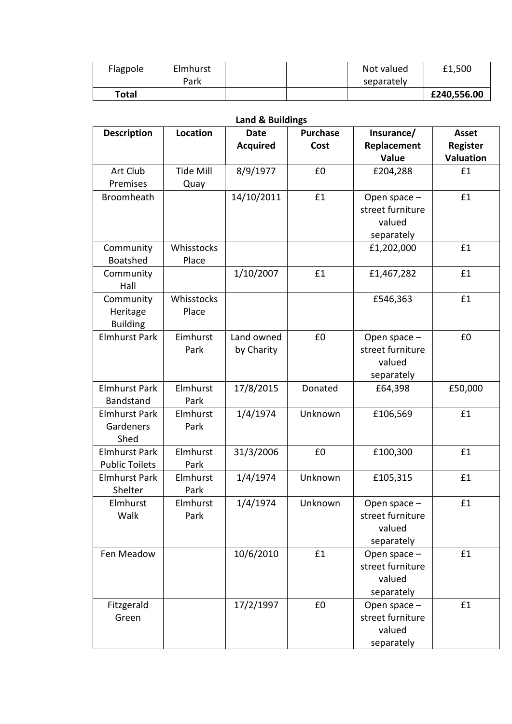| Flagpole | Elmhurst |  | Not valued | £1,500      |
|----------|----------|--|------------|-------------|
|          | Park     |  | separately |             |
| Total    |          |  |            | £240,556.00 |

| <b>Land &amp; Buildings</b> |                  |                 |                 |                  |                  |  |
|-----------------------------|------------------|-----------------|-----------------|------------------|------------------|--|
| <b>Description</b>          | Location         | <b>Date</b>     | <b>Purchase</b> | Insurance/       | <b>Asset</b>     |  |
|                             |                  | <b>Acquired</b> | Cost            | Replacement      | <b>Register</b>  |  |
|                             |                  |                 |                 | Value            | <b>Valuation</b> |  |
| Art Club                    | <b>Tide Mill</b> | 8/9/1977        | £0              | £204,288         | f1               |  |
| Premises                    | Quay             |                 |                 |                  |                  |  |
| <b>Broomheath</b>           |                  | 14/10/2011      | £1              | Open space -     | £1               |  |
|                             |                  |                 |                 | street furniture |                  |  |
|                             |                  |                 |                 | valued           |                  |  |
|                             |                  |                 |                 | separately       |                  |  |
| Community                   | Whisstocks       |                 |                 | £1,202,000       | £1               |  |
| <b>Boatshed</b>             | Place            |                 |                 |                  |                  |  |
| Community                   |                  | 1/10/2007       | £1              | £1,467,282       | £1               |  |
| Hall                        |                  |                 |                 |                  |                  |  |
| Community                   | Whisstocks       |                 |                 | £546,363         | £1               |  |
| Heritage                    | Place            |                 |                 |                  |                  |  |
| <b>Building</b>             |                  |                 |                 |                  |                  |  |
| <b>Elmhurst Park</b>        | Eimhurst         | Land owned      | £0              | Open space -     | £0               |  |
|                             | Park             | by Charity      |                 | street furniture |                  |  |
|                             |                  |                 |                 | valued           |                  |  |
|                             |                  |                 |                 | separately       |                  |  |
| <b>Elmhurst Park</b>        | <b>Elmhurst</b>  | 17/8/2015       | Donated         | £64,398          | £50,000          |  |
| Bandstand                   | Park             |                 |                 |                  |                  |  |
| <b>Elmhurst Park</b>        | Elmhurst         | 1/4/1974        | Unknown         | £106,569         | £1               |  |
| Gardeners                   | Park             |                 |                 |                  |                  |  |
| Shed                        |                  |                 |                 |                  |                  |  |
| <b>Elmhurst Park</b>        | Elmhurst         | 31/3/2006       | £0              | £100,300         | £1               |  |
| <b>Public Toilets</b>       | Park             |                 |                 |                  |                  |  |
| <b>Elmhurst Park</b>        | <b>Elmhurst</b>  | 1/4/1974        | Unknown         | £105,315         | £1               |  |
| Shelter                     | Park             |                 |                 |                  |                  |  |
| Elmhurst                    | Elmhurst         | 1/4/1974        | Unknown         | Open space -     | £1               |  |
| Walk                        | Park             |                 |                 | street furniture |                  |  |
|                             |                  |                 |                 | valued           |                  |  |
|                             |                  |                 |                 | separately       |                  |  |
| Fen Meadow                  |                  | 10/6/2010       | £1              | Open space -     | £1               |  |
|                             |                  |                 |                 | street furniture |                  |  |
|                             |                  |                 |                 | valued           |                  |  |
|                             |                  |                 |                 | separately       |                  |  |
| Fitzgerald                  |                  | 17/2/1997       | £0              | Open space -     | £1               |  |
| Green                       |                  |                 |                 | street furniture |                  |  |
|                             |                  |                 |                 | valued           |                  |  |
|                             |                  |                 |                 | separately       |                  |  |